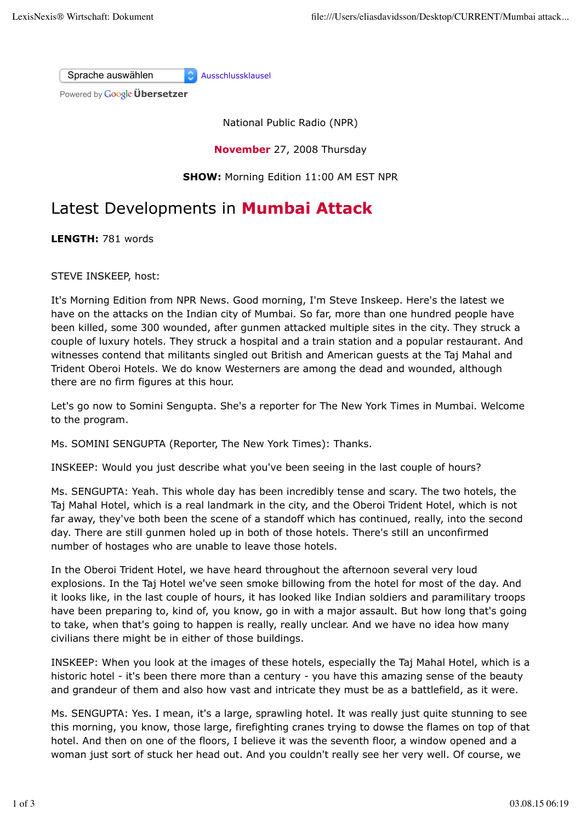Sprache auswählen Ausschlussklausel

Powered by **Google Übersetzer** 

National Public Radio (NPR)

**November** 27, 2008 Thursday

**SHOW:** Morning Edition 11:00 AM EST NPR

## Latest Developments in **Mumbai Attack**

**LENGTH:** 781 words

STEVE INSKEEP, host:

It's Morning Edition from NPR News. Good morning, I'm Steve Inskeep. Here's the latest we have on the attacks on the Indian city of Mumbai. So far, more than one hundred people have been killed, some 300 wounded, after gunmen attacked multiple sites in the city. They struck a couple of luxury hotels. They struck a hospital and a train station and a popular restaurant. And witnesses contend that militants singled out British and American guests at the Taj Mahal and Trident Oberoi Hotels. We do know Westerners are among the dead and wounded, although there are no firm figures at this hour.

Let's go now to Somini Sengupta. She's a reporter for The New York Times in Mumbai. Welcome to the program.

Ms. SOMINI SENGUPTA (Reporter, The New York Times): Thanks.

INSKEEP: Would you just describe what you've been seeing in the last couple of hours?

Ms. SENGUPTA: Yeah. This whole day has been incredibly tense and scary. The two hotels, the Taj Mahal Hotel, which is a real landmark in the city, and the Oberoi Trident Hotel, which is not far away, they've both been the scene of a standoff which has continued, really, into the second day. There are still gunmen holed up in both of those hotels. There's still an unconfirmed number of hostages who are unable to leave those hotels.

In the Oberoi Trident Hotel, we have heard throughout the afternoon several very loud explosions. In the Taj Hotel we've seen smoke billowing from the hotel for most of the day. And it looks like, in the last couple of hours, it has looked like Indian soldiers and paramilitary troops have been preparing to, kind of, you know, go in with a major assault. But how long that's going to take, when that's going to happen is really, really unclear. And we have no idea how many civilians there might be in either of those buildings.

INSKEEP: When you look at the images of these hotels, especially the Taj Mahal Hotel, which is a historic hotel - it's been there more than a century - you have this amazing sense of the beauty and grandeur of them and also how vast and intricate they must be as a battlefield, as it were.

Ms. SENGUPTA: Yes. I mean, it's a large, sprawling hotel. It was really just quite stunning to see this morning, you know, those large, firefighting cranes trying to dowse the flames on top of that hotel. And then on one of the floors, I believe it was the seventh floor, a window opened and a woman just sort of stuck her head out. And you couldn't really see her very well. Of course, we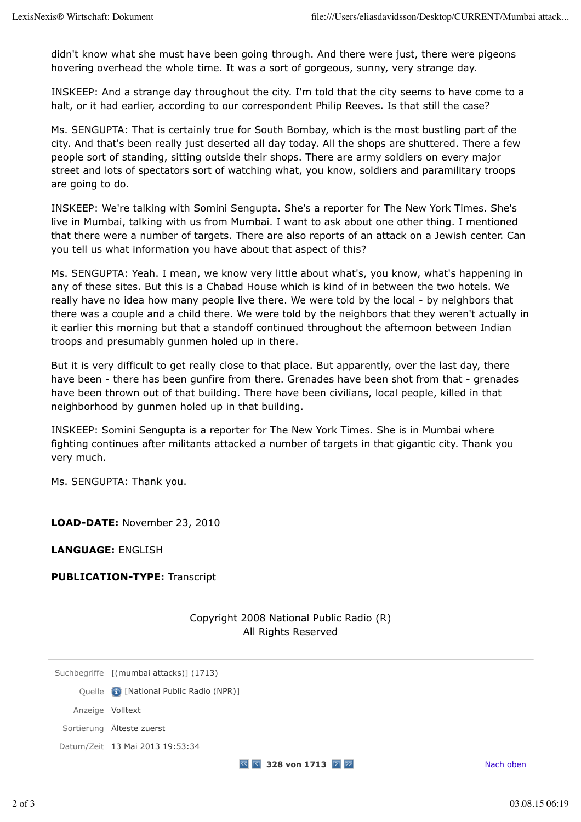didn't know what she must have been going through. And there were just, there were pigeons hovering overhead the whole time. It was a sort of gorgeous, sunny, very strange day.

INSKEEP: And a strange day throughout the city. I'm told that the city seems to have come to a halt, or it had earlier, according to our correspondent Philip Reeves. Is that still the case?

Ms. SENGUPTA: That is certainly true for South Bombay, which is the most bustling part of the city. And that's been really just deserted all day today. All the shops are shuttered. There a few people sort of standing, sitting outside their shops. There are army soldiers on every major street and lots of spectators sort of watching what, you know, soldiers and paramilitary troops are going to do.

INSKEEP: We're talking with Somini Sengupta. She's a reporter for The New York Times. She's live in Mumbai, talking with us from Mumbai. I want to ask about one other thing. I mentioned that there were a number of targets. There are also reports of an attack on a Jewish center. Can you tell us what information you have about that aspect of this?

Ms. SENGUPTA: Yeah. I mean, we know very little about what's, you know, what's happening in any of these sites. But this is a Chabad House which is kind of in between the two hotels. We really have no idea how many people live there. We were told by the local - by neighbors that there was a couple and a child there. We were told by the neighbors that they weren't actually in it earlier this morning but that a standoff continued throughout the afternoon between Indian troops and presumably gunmen holed up in there.

But it is very difficult to get really close to that place. But apparently, over the last day, there have been - there has been gunfire from there. Grenades have been shot from that - grenades have been thrown out of that building. There have been civilians, local people, killed in that neighborhood by gunmen holed up in that building.

INSKEEP: Somini Sengupta is a reporter for The New York Times. She is in Mumbai where fighting continues after militants attacked a number of targets in that gigantic city. Thank you very much.

Ms. SENGUPTA: Thank you.

**LOAD-DATE:** November 23, 2010

**LANGUAGE:** ENGLISH

**PUBLICATION-TYPE:** Transcript

Copyright 2008 National Public Radio (R) All Rights Reserved

Suchbegriffe [(mumbai attacks)] (1713)

Quelle **[1**] [National Public Radio (NPR)]

Anzeige Volltext

Sortierung Älteste zuerst

Datum/Zeit 13 Mai 2013 19:53:34